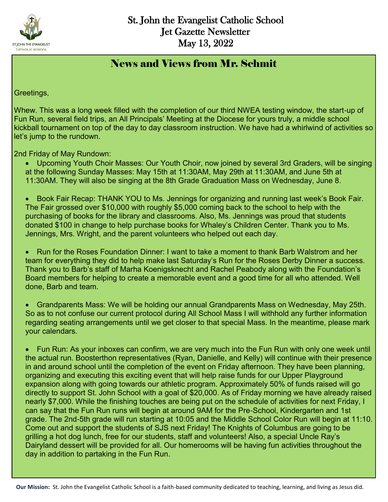

#### News and Views from Mr. Schmit

Greetings,

Whew. This was a long week filled with the completion of our third NWEA testing window, the start-up of Fun Run, several field trips, an All Principals' Meeting at the Diocese for yours truly, a middle school kickball tournament on top of the day to day classroom instruction. We have had a whirlwind of activities so let's jump to the rundown.

2nd Friday of May Rundown:

- Upcoming Youth Choir Masses: Our Youth Choir, now joined by several 3rd Graders, will be singing at the following Sunday Masses: May 15th at 11:30AM, May 29th at 11:30AM, and June 5th at 11:30AM. They will also be singing at the 8th Grade Graduation Mass on Wednesday, June 8.
- Book Fair Recap: THANK YOU to Ms. Jennings for organizing and running last week's Book Fair. The Fair grossed over \$10,000 with roughly \$5,000 coming back to the school to help with the purchasing of books for the library and classrooms. Also, Ms. Jennings was proud that students donated \$100 in change to help purchase books for Whaley's Children Center. Thank you to Ms. Jennings, Mrs. Wright, and the parent volunteers who helped out each day.

 Run for the Roses Foundation Dinner: I want to take a moment to thank Barb Walstrom and her team for everything they did to help make last Saturday's Run for the Roses Derby Dinner a success. Thank you to Barb's staff of Marha Koenigsknecht and Rachel Peabody along with the Foundation's Board members for helping to create a memorable event and a good time for all who attended. Well done, Barb and team.

 Grandparents Mass: We will be holding our annual Grandparents Mass on Wednesday, May 25th. So as to not confuse our current protocol during All School Mass I will withhold any further information regarding seating arrangements until we get closer to that special Mass. In the meantime, please mark your calendars.

 Fun Run: As your inboxes can confirm, we are very much into the Fun Run with only one week until the actual run. Boosterthon representatives (Ryan, Danielle, and Kelly) will continue with their presence in and around school until the completion of the event on Friday afternoon. They have been planning, organizing and executing this exciting event that will help raise funds for our Upper Playground expansion along with going towards our athletic program. Approximately 50% of funds raised will go directly to support St. John School with a goal of \$20,000. As of Friday morning we have already raised nearly \$7,000. While the finishing touches are being put on the schedule of activities for next Friday, I can say that the Fun Run runs will begin at around 9AM for the Pre-School, Kindergarten and 1st grade. The 2nd-5th grade will run starting at 10:05 and the Middle School Color Run will begin at 11:10. Come out and support the students of SJS next Friday! The Knights of Columbus are going to be grilling a hot dog lunch, free for our students, staff and volunteers! Also, a special Uncle Ray's Dairyland dessert will be provided for all. Our homerooms will be having fun activities throughout the day in addition to partaking in the Fun Run.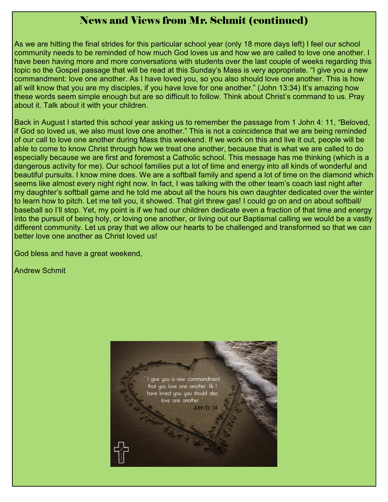#### News and Views from Mr. Schmit (continued)

As we are hitting the final strides for this particular school year (only 18 more days left) I feel our school community needs to be reminded of how much God loves us and how we are called to love one another. I have been having more and more conversations with students over the last couple of weeks regarding this topic so the Gospel passage that will be read at this Sunday's Mass is very appropriate. "I give you a new commandment: love one another. As I have loved you, so you also should love one another. This is how all will know that you are my disciples, if you have love for one another." (John 13:34) It's amazing how these words seem simple enough but are so difficult to follow. Think about Christ's command to us. Pray about it. Talk about it with your children.

Back in August I started this school year asking us to remember the passage from 1 John 4: 11, "Beloved, if God so loved us, we also must love one another." This is not a coincidence that we are being reminded of our call to love one another during Mass this weekend. If we work on this and live it out, people will be able to come to know Christ through how we treat one another, because that is what we are called to do especially because we are first and foremost a Catholic school. This message has me thinking (which is a dangerous activity for me). Our school families put a lot of time and energy into all kinds of wonderful and beautiful pursuits. I know mine does. We are a softball family and spend a lot of time on the diamond which seems like almost every night right now. In fact, I was talking with the other team's coach last night after my daughter's softball game and he told me about all the hours his own daughter dedicated over the winter to learn how to pitch. Let me tell you, it showed. That girl threw gas! I could go on and on about softball/ baseball so I'll stop. Yet, my point is if we had our children dedicate even a fraction of that time and energy into the pursuit of being holy, or loving one another, or living out our Baptismal calling we would be a vastly different community. Let us pray that we allow our hearts to be challenged and transformed so that we can better love one another as Christ loved us!

God bless and have a great weekend,

Andrew Schmit

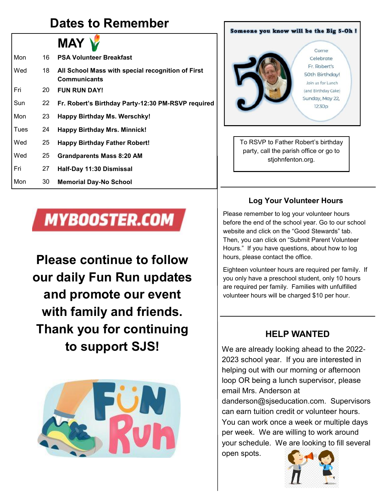### **Dates to Remember**



| Mon  | 16 | <b>PSA Volunteer Breakfast</b>                                           |
|------|----|--------------------------------------------------------------------------|
| Wed  | 18 | All School Mass with special recognition of First<br><b>Communicants</b> |
| Fri  | 20 | <b>FUN RUN DAY!</b>                                                      |
| Sun  | 22 | Fr. Robert's Birthday Party-12:30 PM-RSVP required                       |
| Mon  | 23 | Happy Birthday Ms. Werschky!                                             |
| Tues | 24 | <b>Happy Birthday Mrs. Minnick!</b>                                      |
| Wed  | 25 | <b>Happy Birthday Father Robert!</b>                                     |
| Wed  | 25 | <b>Grandparents Mass 8:20 AM</b>                                         |
| Fri  | 27 | Half-Day 11:30 Dismissal                                                 |
| Mon  | 30 | <b>Memorial Day-No School</b>                                            |

# **MYBOOSTER.COM**

**Please continue to follow our daily Fun Run updates and promote our event with family and friends. Thank you for continuing to support SJS!** 



#### Someone you know will be the Big 5-Oh ! Come Celebrate Er Pobert's 50th Birthday! Join us for Lunch (and Birthday Cake) Sunday, May 22,  $12:30<sub>D</sub>$

To RSVP to Father Robert's birthday party, call the parish office or go to stjohnfenton.org.

#### **Log Your Volunteer Hours**

Please remember to log your volunteer hours before the end of the school year. Go to our school website and click on the "Good Stewards" tab. Then, you can click on "Submit Parent Volunteer Hours." If you have questions, about how to log hours, please contact the office.

Eighteen volunteer hours are required per family. If you only have a preschool student, only 10 hours are required per family. Families with unfulfilled volunteer hours will be charged \$10 per hour.

#### **HELP WANTED**

We are already looking ahead to the 2022- 2023 school year. If you are interested in helping out with our morning or afternoon loop OR being a lunch supervisor, please email Mrs. Anderson at

danderson@sjseducation.com. Supervisors can earn tuition credit or volunteer hours. You can work once a week or multiple days per week. We are willing to work around your schedule. We are looking to fill several open spots.

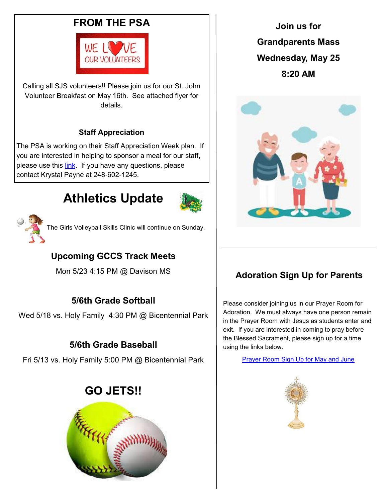#### **FROM THE PSA**



Calling all SJS volunteers!! Please join us for our St. John Volunteer Breakfast on May 16th. See attached flyer for details.

#### **Staff Appreciation**

The PSA is working on their Staff Appreciation Week plan. If you are interested in helping to sponsor a meal for our staff, please use this [link.](https://www.signupgenius.com/go/10c0b44aca823a7f94-staff) If you have any questions, please contact Krystal Payne at 248-602-1245.

# **Athletics Update**





The Girls Volleyball Skills Clinic will continue on Sunday.

#### **Upcoming GCCS Track Meets**

Mon 5/23 4:15 PM @ Davison MS

#### **5/6th Grade Softball**

Wed 5/18 vs. Holy Family 4:30 PM @ Bicentennial Park

#### **5/6th Grade Baseball**

Fri 5/13 vs. Holy Family 5:00 PM @ Bicentennial Park

#### **GO JETS!!**



**Join us for Grandparents Mass Wednesday, May 25 8:20 AM**



#### **Adoration Sign Up for Parents**

Please consider joining us in our Prayer Room for Adoration. We must always have one person remain in the Prayer Room with Jesus as students enter and exit. If you are interested in coming to pray before the Blessed Sacrament, please sign up for a time using the links below.

[Prayer Room Sign Up for May and June](https://www.signupgenius.com/go/10c0d4daaaf29a6fac34-prayer3)

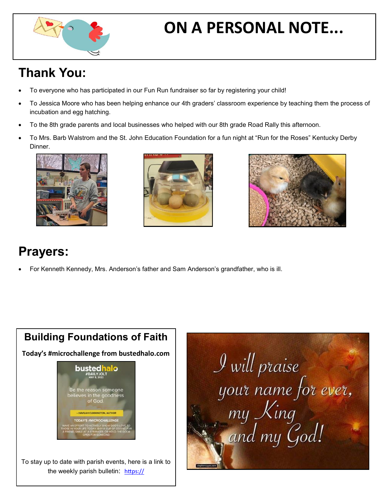

# **ON A PERSONAL NOTE...**

# **Thank You:**

- To everyone who has participated in our Fun Run fundraiser so far by registering your child!
- To Jessica Moore who has been helping enhance our 4th graders' classroom experience by teaching them the process of incubation and egg hatching.
- To the 8th grade parents and local businesses who helped with our 8th grade Road Rally this afternoon.
- To Mrs. Barb Walstrom and the St. John Education Foundation for a fun night at "Run for the Roses" Kentucky Derby Dinner.







## **Prayers:**

For Kenneth Kennedy, Mrs. Anderson's father and Sam Anderson's grandfather, who is ill.



 $\mathcal{I}$  will praise your name for ever,<br>my King<br>and my God!